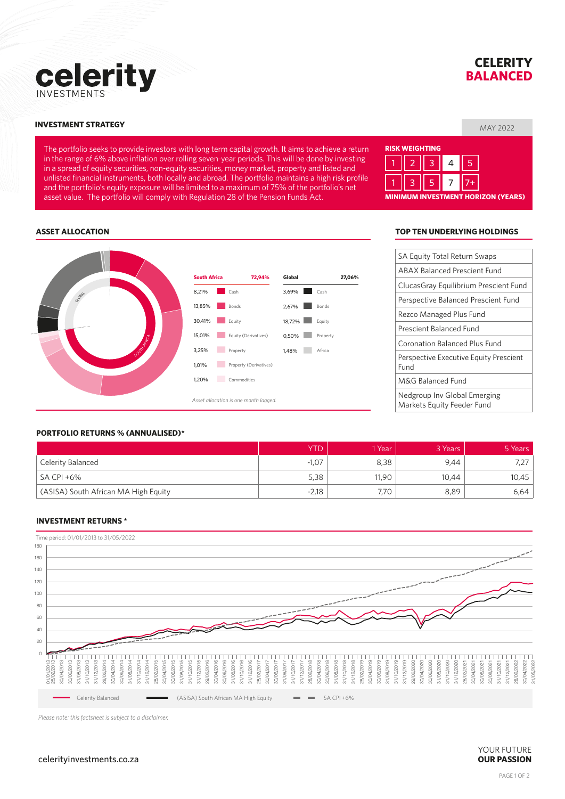

## **CELERITY BALANCED**

#### MAY 2022 **INVESTMENT STRATEGY**

The portfolio seeks to provide investors with long term capital growth. It aims to achieve a return in the range of 6% above inflation over rolling seven-year periods. This will be done by investing in a spread of equity securities, non-equity securities, money market, property and listed and unlisted financial instruments, both locally and abroad. The portfolio maintains a high risk profile and the portfolio's equity exposure will be limited to a maximum of 75% of the portfolio's net asset value. The portfolio will comply with Regulation 28 of the Pension Funds Act.

# **RISK WEIGHTING MINIMUM INVESTMENT HORIZON (YEARS)** 1 || 2 || 3 || 4 || 5 1 || 3 || 5 || 7 ||7+

#### **ASSET ALLOCATION**



#### **TOP TEN UNDERLYING HOLDINGS**

| <b>SA Equity Total Return Swaps</b>                        |  |  |  |  |  |
|------------------------------------------------------------|--|--|--|--|--|
| <b>ABAX Balanced Prescient Fund</b>                        |  |  |  |  |  |
| ClucasGray Equilibrium Prescient Fund                      |  |  |  |  |  |
| Perspective Balanced Prescient Fund                        |  |  |  |  |  |
| Rezco Managed Plus Fund                                    |  |  |  |  |  |
| Prescient Balanced Fund                                    |  |  |  |  |  |
| Coronation Balanced Plus Fund                              |  |  |  |  |  |
| <b>Perspective Executive Equity Prescient</b><br>Fund      |  |  |  |  |  |
| M&G Balanced Fund                                          |  |  |  |  |  |
| Nedgroup Inv Global Emerging<br>Markets Equity Feeder Fund |  |  |  |  |  |

#### **PORTFOLIO RETURNS % (ANNUALISED)\***

|                                      | YTD     | ∣ Year | 3 Years | 5 Years |
|--------------------------------------|---------|--------|---------|---------|
| Celerity Balanced                    | $-1,07$ | 8,38   | 9.44    | L       |
| SA CPI +6%                           | 5,38    | 11,90  | 10,44   | 10,45   |
| (ASISA) South African MA High Equity | $-2,18$ | 7.70   | 8,89    | 6,64    |

#### **INVESTMENT RETURNS \***



*Please note: this factsheet is subject to a disclaimer.*

#### celerityinvestments.co.za **OUR PASSION**

# YOUR FUTURE